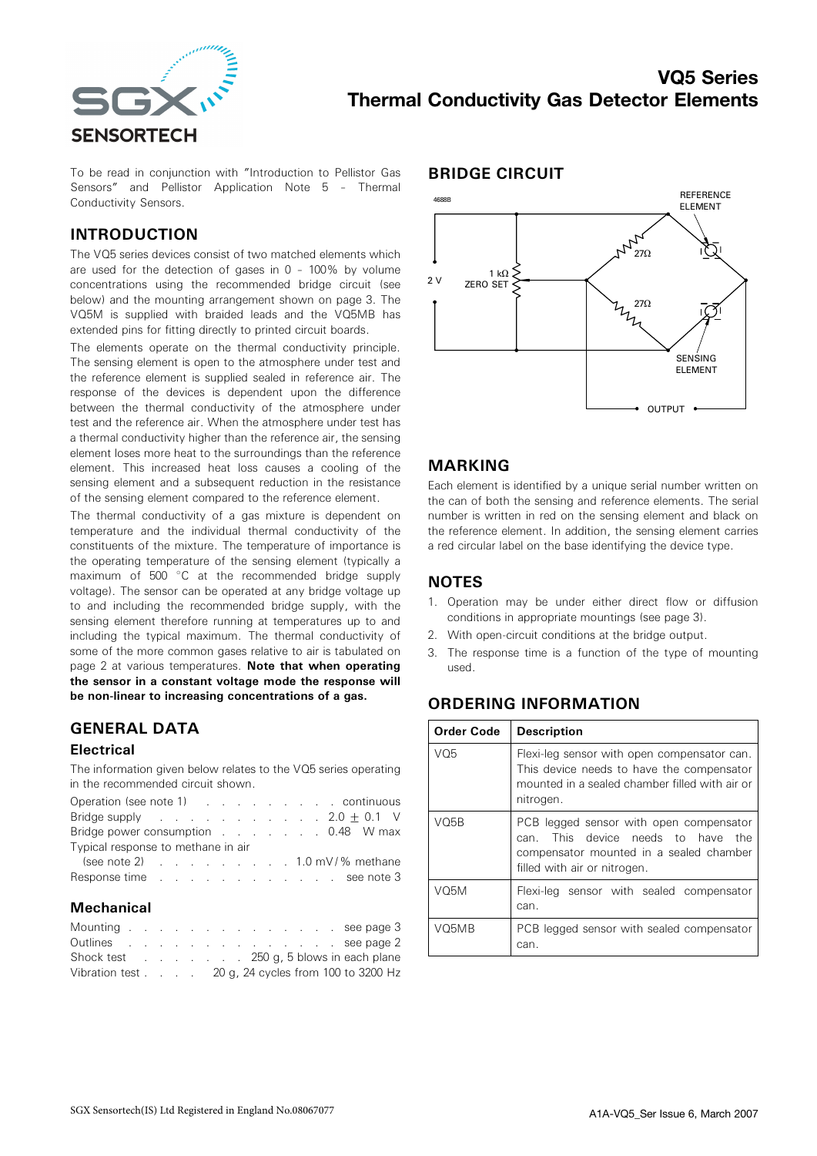

To be read in conjunction with "Introduction to Pellistor Gas Sensors" and Pellistor Application Note 5 – Thermal Conductivity Sensors.

## INTRODUCTION

The VQ5 series devices consist of two matched elements which are used for the detection of gases in 0 – 100% by volume concentrations using the recommended bridge circuit (see below) and the mounting arrangement shown on page 3. The VQ5M is supplied with braided leads and the VQ5MB has extended pins for fitting directly to printed circuit boards.

The elements operate on the thermal conductivity principle. The sensing element is open to the atmosphere under test and the reference element is supplied sealed in reference air. The response of the devices is dependent upon the difference between the thermal conductivity of the atmosphere under test and the reference air. When the atmosphere under test has a thermal conductivity higher than the reference air, the sensing element loses more heat to the surroundings than the reference element. This increased heat loss causes a cooling of the sensing element and a subsequent reduction in the resistance of the sensing element compared to the reference element.

The thermal conductivity of a gas mixture is dependent on temperature and the individual thermal conductivity of the constituents of the mixture. The temperature of importance is the operating temperature of the sensing element (typically a maximum of 500 °C at the recommended bridge supply voltage). The sensor can be operated at any bridge voltage up to and including the recommended bridge supply, with the sensing element therefore running at temperatures up to and including the typical maximum. The thermal conductivity of some of the more common gases relative to air is tabulated on page 2 at various temperatures. Note that when operating the sensor in a constant voltage mode the response will be non-linear to increasing concentrations of a gas.

# GENERAL DATA

#### **Electrical**

The information given below relates to the VQ5 series operating in the recommended circuit shown.

| Operation (see note 1) (Contact Allen Continuous                                                                                                                                                                               |  |  |  |  |  |  |  |  |
|--------------------------------------------------------------------------------------------------------------------------------------------------------------------------------------------------------------------------------|--|--|--|--|--|--|--|--|
| Bridge supply $\ldots$ $\ldots$ $\ldots$ $\ldots$ $2.0 \pm 0.1$ V                                                                                                                                                              |  |  |  |  |  |  |  |  |
| Bridge power consumption 0.48 W max                                                                                                                                                                                            |  |  |  |  |  |  |  |  |
| Typical response to methane in air                                                                                                                                                                                             |  |  |  |  |  |  |  |  |
| (see note 2) $\ldots$ $\ldots$ $\ldots$ $\ldots$ $\ldots$ 1.0 mV/% methane                                                                                                                                                     |  |  |  |  |  |  |  |  |
| Response time response time response in the second second second second second second second second second second second second second second second second second second second second second second second second second sec |  |  |  |  |  |  |  |  |

#### **Mechanical**

| Mounting see page 3                                                  |  |  |  |  |  |  |  |
|----------------------------------------------------------------------|--|--|--|--|--|--|--|
| Outlines see page 2                                                  |  |  |  |  |  |  |  |
| Shock test 250 g, 5 blows in each plane                              |  |  |  |  |  |  |  |
| Vibration test $\ldots$ $\ldots$ 20 g, 24 cycles from 100 to 3200 Hz |  |  |  |  |  |  |  |

#### BRIDGE CIRCUIT



## MARKING

Each element is identified by a unique serial number written on the can of both the sensing and reference elements. The serial number is written in red on the sensing element and black on the reference element. In addition, the sensing element carries a red circular label on the base identifying the device type.

## **NOTES**

- 1. Operation may be under either direct flow or diffusion conditions in appropriate mountings (see page 3).
- 2. With open-circuit conditions at the bridge output.
- 3. The response time is a function of the type of mounting used.

# ORDERING INFORMATION

| <b>Order Code</b> | <b>Description</b>                                                                                                                                             |
|-------------------|----------------------------------------------------------------------------------------------------------------------------------------------------------------|
| VO5               | Flexi-leg sensor with open compensator can.<br>This device needs to have the compensator<br>mounted in a sealed chamber filled with air or<br>nitrogen.        |
| VO5B              | PCB legged sensor with open compensator<br>This device needs to have<br>the<br>can.<br>compensator mounted in a sealed chamber<br>filled with air or nitrogen. |
| V <sub>05</sub> M | Flexi-leg sensor with sealed compensator<br>can.                                                                                                               |
| VO5MB             | PCB legged sensor with sealed compensator<br>can.                                                                                                              |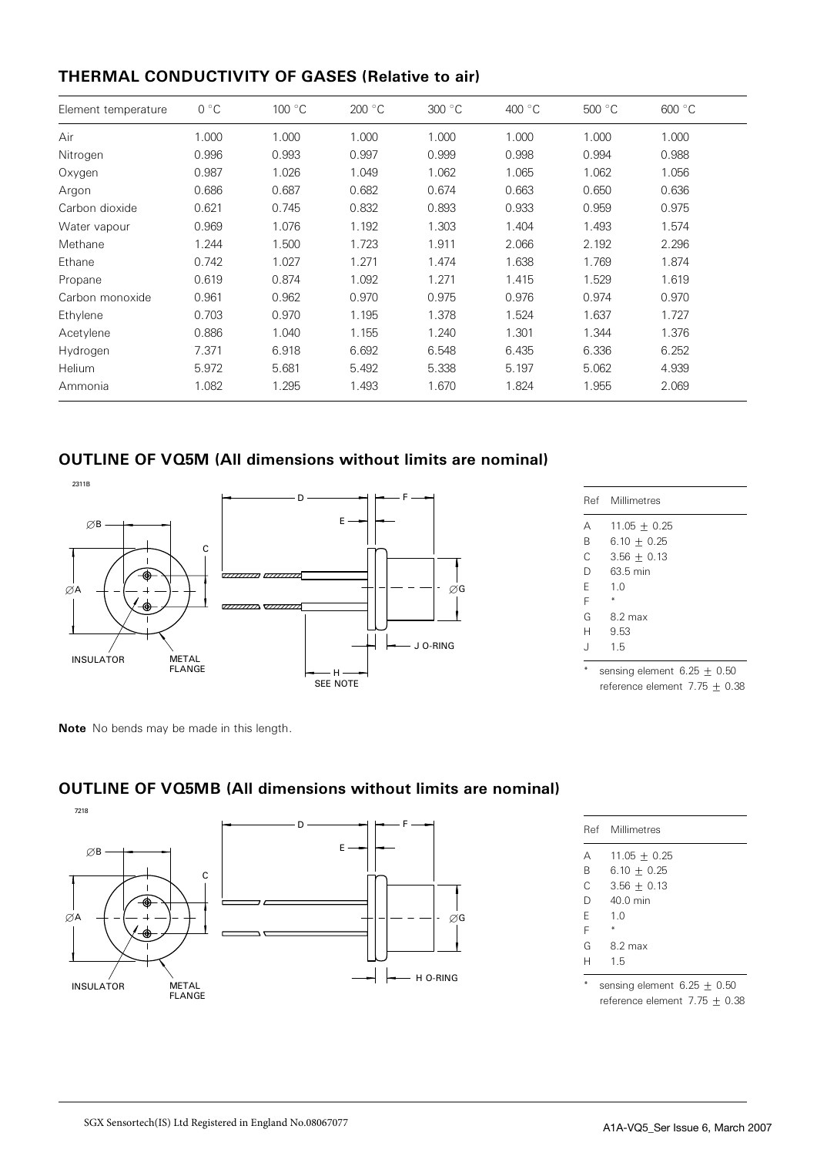# THERMAL CONDUCTIVITY OF GASES (Relative to air)

| Element temperature | $0^{\circ}C$ | 100 °C | 200 °C | 300 °C | 400 $\degree$ C | 500 °C | 600 °C |
|---------------------|--------------|--------|--------|--------|-----------------|--------|--------|
| Air                 | 1.000        | 1.000  | 1.000  | 1.000  | 1.000           | 1.000  | 1.000  |
| Nitrogen            | 0.996        | 0.993  | 0.997  | 0.999  | 0.998           | 0.994  | 0.988  |
| Oxygen              | 0.987        | 1.026  | 1.049  | 1.062  | 1.065           | 1.062  | 1.056  |
| Argon               | 0.686        | 0.687  | 0.682  | 0.674  | 0.663           | 0.650  | 0.636  |
| Carbon dioxide      | 0.621        | 0.745  | 0.832  | 0.893  | 0.933           | 0.959  | 0.975  |
| Water vapour        | 0.969        | 1.076  | 1.192  | 1.303  | 1.404           | 1.493  | 1.574  |
| Methane             | 1.244        | 1.500  | 1.723  | 1.911  | 2.066           | 2.192  | 2.296  |
| Ethane              | 0.742        | 1.027  | 1.271  | 1.474  | 1.638           | 1.769  | 1.874  |
| Propane             | 0.619        | 0.874  | 1.092  | 1.271  | 1.415           | 1.529  | 1.619  |
| Carbon monoxide     | 0.961        | 0.962  | 0.970  | 0.975  | 0.976           | 0.974  | 0.970  |
| Ethylene            | 0.703        | 0.970  | 1.195  | 1.378  | 1.524           | 1.637  | 1.727  |
| Acetylene           | 0.886        | 1.040  | 1.155  | 1.240  | 1.301           | 1.344  | 1.376  |
| Hydrogen            | 7.371        | 6.918  | 6.692  | 6.548  | 6.435           | 6.336  | 6.252  |
| Helium              | 5.972        | 5.681  | 5.492  | 5.338  | 5.197           | 5.062  | 4.939  |
| Ammonia             | 1.082        | 1.295  | 1.493  | 1.670  | 1.824           | 1.955  | 2.069  |

# OUTLINE OF VQ5M (All dimensions without limits are nominal)



| Ref | Millimetres            |
|-----|------------------------|
| А   | $11.05 \pm 0.25$       |
| B   | $6.10 + 0.25$          |
| C   | $3.56 + 0.13$          |
| D   | 63.5 min               |
| F   | 1 <sub>0</sub>         |
| F   |                        |
| G   | $8.2 \text{ max}$      |
| Н   | 9.53                   |
| . J | 1.5                    |
|     | sensing element 6 75 + |

ng element  $6.2$ reference element 7.75 + 0.38

Note No bends may be made in this length.



# OUTLINE OF VQ5MB (All dimensions without limits are nominal)

|   | Ref Millimetres               |
|---|-------------------------------|
| А | $11.05 \pm 0.25$              |
| B | 6.10 $\pm$ 0.25               |
| C | $3.56 + 0.13$                 |
| D | 40 0 min                      |
| F | 1.0                           |
| F |                               |
| G | $8.2 \text{ max}$             |
| н | 15                            |
|   |                               |
|   | sensing element $6.25 + 0.50$ |

reference element  $7.75 \pm 0.38$